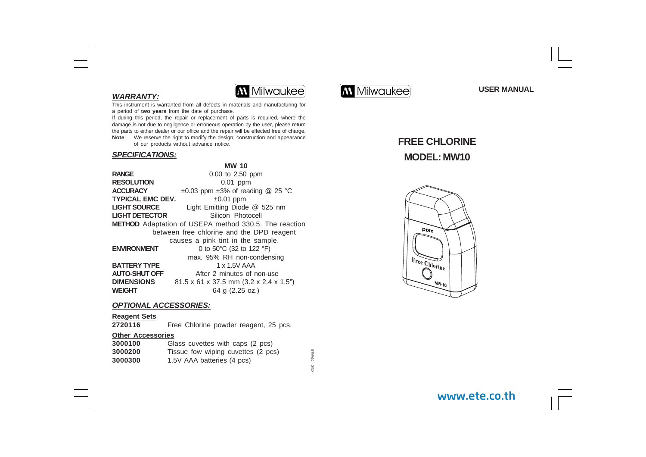# **WARRANTY:**



This instrument is warranted from all defects in materials and manufacturing for a period of **two years** from the date of purchase.

If during this period, the repair or replacement of parts is required, where the damage is not due to negligence or erroneous operation by the user, please return the parts to either dealer or our office and the repair will be effected free of charge. **Note**: We reserve the right to modify the design, construction and appearance of our products without advance notice.

### **SPECIFICATIONS:**

|                       | <b>MW 10</b>                                                  |
|-----------------------|---------------------------------------------------------------|
| <b>RANGE</b>          | $0.00$ to 2.50 ppm                                            |
| RESOLUTION            | $0.01$ ppm                                                    |
| <b>ACCURACY</b>       | $\pm 0.03$ ppm $\pm 3\%$ of reading @ 25 °C                   |
| TYPICAL EMC DEV.      | $\pm 0.01$ ppm                                                |
| <b>LIGHT SOURCE</b>   | Light Emitting Diode @ 525 nm                                 |
| <b>LIGHT DETECTOR</b> | Silicon Photocell                                             |
|                       | <b>METHOD</b> Adaptation of USEPA method 330.5. The reaction  |
|                       | between free chlorine and the DPD reagent                     |
|                       | causes a pink tint in the sample.                             |
| <b>ENVIRONMENT</b>    | 0 to 50°C (32 to 122 °F)                                      |
|                       | max. 95% RH non-condensing                                    |
| <b>BATTERY TYPE</b>   | 1 x 1.5V AAA                                                  |
| <b>AUTO-SHUT OFF</b>  | After 2 minutes of non-use                                    |
| <b>DIMENSIONS</b>     | $81.5 \times 61 \times 37.5$ mm $(3.2 \times 2.4 \times 1.5)$ |
| WEIGHT                | 64 g (2.25 oz.)                                               |
|                       |                                                               |

# **OPTIONAL ACCESSORIES:**

# **Reagent Sets**

Free Chlorine powder reagent, 25 pcs.

#### **Other Accessories**

| 3000100 | Glass cuvettes with caps (2 pcs)   |
|---------|------------------------------------|
| 3000200 | Tissue fow wiping cuvettes (2 pcs) |
| 3000300 | 1.5V AAA batteries (4 pcs)         |

**GLAVALSI** ISTMW10 08/10 OB/1C



**USER MANUAL**

# **FREE CHLORINE MODEL: MW10**